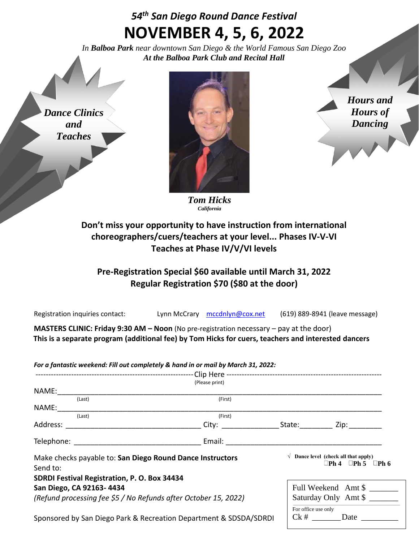## *54th San Diego Round Dance Festival* **NOVEMBER 4, 5, 6, 2022**

*In Balboa Park near downtown San Diego & the World Famous San Diego Zoo At the Balboa Park Club and Recital Hall*

*Dance Clinics and Teaches*



*Hours and Hours of Dancing*

 $Ck \# \underline{\hspace{2cm}}$ Date

*Tom Hicks California*

## **Don't miss your opportunity to have instruction from international choreographers/cuers/teachers at your level... Phases IV-V-VI Teaches at Phase IV/V/VI levels**

## **Pre-Registration Special \$60 available until March 31, 2022 Regular Registration \$70 (\$80 at the door)**

| Registration inquiries contact: | Lynn McCrary mccdnlyn@cox.net | (619) 889-8941 (leave message) |
|---------------------------------|-------------------------------|--------------------------------|
|                                 |                               |                                |

**MASTERS CLINIC: Friday 9:30 AM – Noon** (No pre-registration necessary – pay at the door) **This is a separate program (additional fee) by Tom Hicks for cuers, teachers and interested dancers**

*For a fantastic weekend: Fill out completely & hand in or mail by March 31, 2022:*

|                                                                 |                                              | (Please print)    |                                               |                                     |
|-----------------------------------------------------------------|----------------------------------------------|-------------------|-----------------------------------------------|-------------------------------------|
| NAME:                                                           |                                              |                   |                                               |                                     |
|                                                                 | (Last)                                       | (First)           |                                               |                                     |
| NAME:                                                           |                                              |                   |                                               |                                     |
|                                                                 | (Last)                                       | (First)           |                                               |                                     |
|                                                                 |                                              | City: State: Zip: |                                               |                                     |
|                                                                 | Telephone: Telephone:                        |                   |                                               |                                     |
| Make checks payable to: San Diego Round Dance Instructors       |                                              |                   | $\sqrt{ }$ Dance level (check all that apply) |                                     |
| Send to:                                                        |                                              |                   |                                               | $\Box$ Ph 4 $\Box$ Ph 5 $\Box$ Ph 6 |
|                                                                 | SDRDI Festival Registration, P. O. Box 34434 |                   |                                               |                                     |
| San Diego, CA 92163-4434                                        |                                              |                   | Full Weekend Amt \$                           |                                     |
| (Refund processing fee \$5 / No Refunds after October 15, 2022) |                                              |                   | Saturday Only Amt \$                          |                                     |
|                                                                 |                                              |                   | For office use only                           |                                     |

Sponsored by San Diego Park & Recreation Department & SDSDA/SDRDI